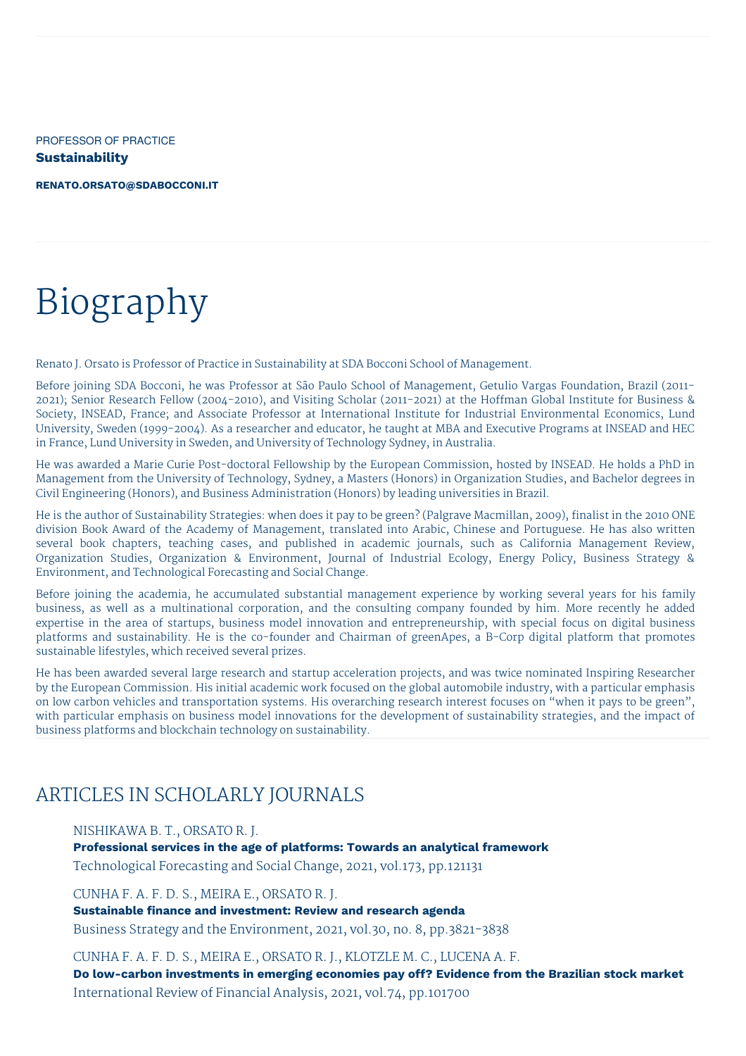PROFESSOR OF PRACTICE **Sustainability**

**[RENATO.ORSATO@SDABOCCONI.IT](mailto:renato.orsato@sdabocconi.it)**

# Biography

Renato J. Orsato is Professor of Practice in Sustainability at SDA Bocconi School of Management.

Before joining SDA Bocconi, he was Professor at São Paulo School of Management, Getulio Vargas Foundation, Brazil (2011- 2021); Senior Research Fellow (2004-2010), and Visiting Scholar (2011-2021) at the Hoffman Global Institute for Business & Society, INSEAD, France; and Associate Professor at International Institute for Industrial Environmental Economics, Lund University, Sweden (1999-2004). As a researcher and educator, he taught at MBA and Executive Programs at INSEAD and HEC in France, Lund University in Sweden, and University of Technology Sydney, in Australia.

He was awarded a Marie Curie Post-doctoral Fellowship by the European Commission, hosted by INSEAD. He holds a PhD in Management from the University of Technology, Sydney, a Masters (Honors) in Organization Studies, and Bachelor degrees in Civil Engineering (Honors), and Business Administration (Honors) by leading universities in Brazil.

He is the author of Sustainability Strategies: when does it pay to be green? (Palgrave Macmillan, 2009), finalist in the 2010 ONE division Book Award of the Academy of Management, translated into Arabic, Chinese and Portuguese. He has also written several book chapters, teaching cases, and published in academic journals, such as California Management Review, Organization Studies, Organization & Environment, Journal of Industrial Ecology, Energy Policy, Business Strategy & Environment, and Technological Forecasting and Social Change.

Before joining the academia, he accumulated substantial management experience by working several years for his family business, as well as a multinational corporation, and the consulting company founded by him. More recently he added expertise in the area of startups, business model innovation and entrepreneurship, with special focus on digital business platforms and sustainability. He is the co-founder and Chairman of greenApes, a B-Corp digital platform that promotes sustainable lifestyles, which received several prizes.

He has been awarded several large research and startup acceleration projects, and was twice nominated Inspiring Researcher by the European Commission. His initial academic work focused on the global automobile industry, with a particular emphasis on low carbon vehicles and transportation systems. His overarching research interest focuses on "when it pays to be green", with particular emphasis on business model innovations for the development of sustainability strategies, and the impact of business platforms and blockchain technology on sustainability.

# ARTICLES IN SCHOLARLY JOURNALS

#### NISHIKAWA B. T., ORSATO R. J.

**Professional services in the age of platforms: Towards an analytical framework** Technological Forecasting and Social Change, 2021, vol.173, pp.121131

CUNHA F. A. F. D. S., MEIRA E., ORSATO R. J.

**Sustainable finance and investment: Review and research agenda** Business Strategy and the Environment, 2021, vol.30, no. 8, pp.3821-3838

CUNHA F. A. F. D. S., MEIRA E., ORSATO R. J., KLOTZLE M. C., LUCENA A. F. **Do low-carbon investments in emerging economies pay off? Evidence from the Brazilian stock market** International Review of Financial Analysis, 2021, vol.74, pp.101700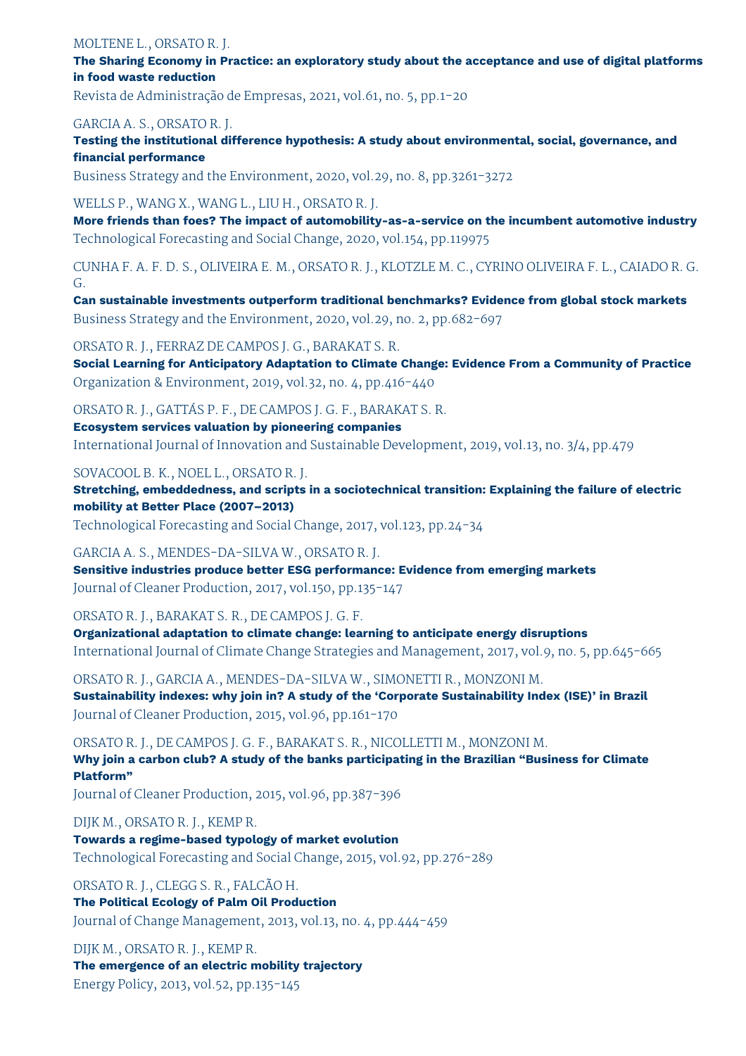#### MOLTENE L., ORSATO R. J.

**The Sharing Economy in Practice: an exploratory study about the acceptance and use of digital platforms in food waste reduction**

Revista de Administração de Empresas, 2021, vol.61, no. 5, pp.1-20

#### GARCIA A. S., ORSATO R. J.

**Testing the institutional difference hypothesis: A study about environmental, social, governance, and financial performance**

Business Strategy and the Environment, 2020, vol.29, no. 8, pp.3261-3272

#### WELLS P., WANG X., WANG L., LIU H., ORSATO R. J.

**More friends than foes? The impact of automobility-as-a-service on the incumbent automotive industry** Technological Forecasting and Social Change, 2020, vol.154, pp.119975

CUNHA F. A. F. D. S., OLIVEIRA E. M., ORSATO R. J., KLOTZLE M. C., CYRINO OLIVEIRA F. L., CAIADO R. G. G.

**Can sustainable investments outperform traditional benchmarks? Evidence from global stock markets** Business Strategy and the Environment, 2020, vol.29, no. 2, pp.682-697

ORSATO R. J., FERRAZ DE CAMPOS J. G., BARAKAT S. R.

**Social Learning for Anticipatory Adaptation to Climate Change: Evidence From a Community of Practice** Organization & Environment, 2019, vol.32, no. 4, pp.416-440

ORSATO R. J., GATTÁS P. F., DE CAMPOS J. G. F., BARAKAT S. R.

**Ecosystem services valuation by pioneering companies** International Journal of Innovation and Sustainable Development, 2019, vol.13, no. 3/4, pp.479

SOVACOOL B. K., NOEL L., ORSATO R. J.

**Stretching, embeddedness, and scripts in a sociotechnical transition: Explaining the failure of electric mobility at Better Place (2007–2013)**

Technological Forecasting and Social Change, 2017, vol.123, pp.24-34

GARCIA A. S., MENDES-DA-SILVA W., ORSATO R. J.

**Sensitive industries produce better ESG performance: Evidence from emerging markets** Journal of Cleaner Production, 2017, vol.150, pp.135-147

ORSATO R. J., BARAKAT S. R., DE CAMPOS J. G. F.

**Organizational adaptation to climate change: learning to anticipate energy disruptions** International Journal of Climate Change Strategies and Management, 2017, vol.9, no. 5, pp.645-665

ORSATO R. J., GARCIA A., MENDES-DA-SILVA W., SIMONETTI R., MONZONI M. **Sustainability indexes: why join in? A study of the 'Corporate Sustainability Index (ISE)' in Brazil** Journal of Cleaner Production, 2015, vol.96, pp.161-170

ORSATO R. J., DE CAMPOS J. G. F., BARAKAT S. R., NICOLLETTI M., MONZONI M. **Why join a carbon club? A study of the banks participating in the Brazilian "Business for Climate Platform"**

Journal of Cleaner Production, 2015, vol.96, pp.387-396

DIJK M., ORSATO R. J., KEMP R.

**Towards a regime-based typology of market evolution** Technological Forecasting and Social Change, 2015, vol.92, pp.276-289

ORSATO R. J., CLEGG S. R., FALCÃO H. **The Political Ecology of Palm Oil Production** Journal of Change Management, 2013, vol.13, no. 4, pp.444-459

DIJK M., ORSATO R. J., KEMP R. **The emergence of an electric mobility trajectory** Energy Policy, 2013, vol.52, pp.135-145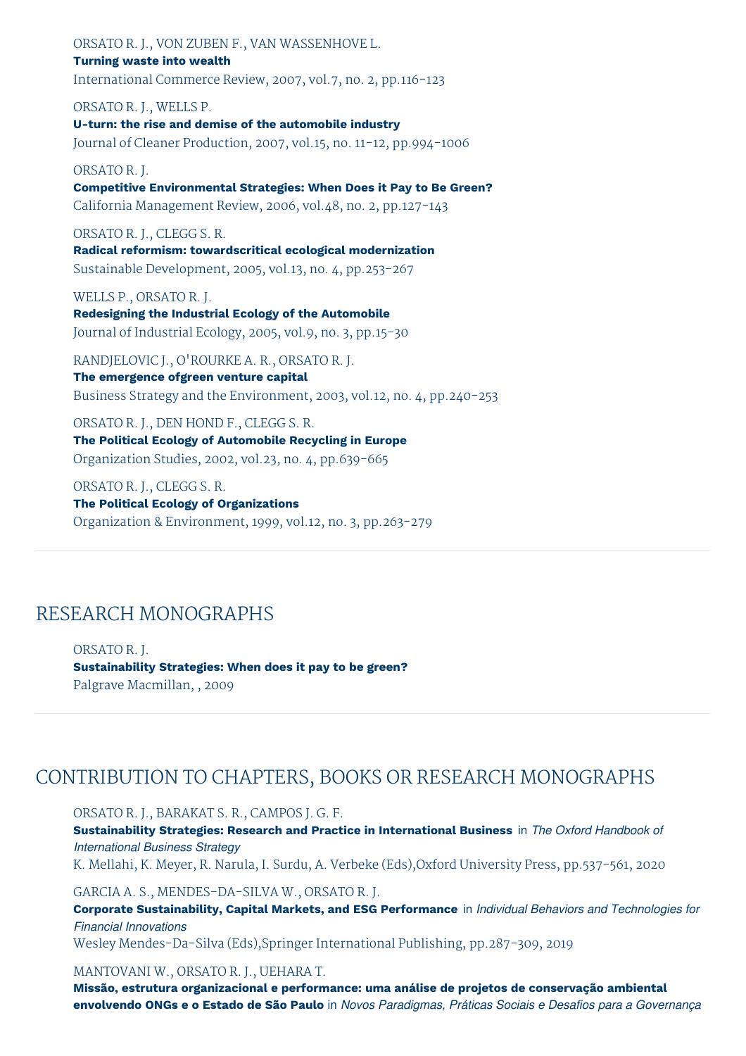ORSATO R. J., VON ZUBEN F., VAN WASSENHOVE L. **Turning waste into wealth** International Commerce Review, 2007, vol.7, no. 2, pp.116-123

ORSATO R. J., WELLS P. **U-turn: the rise and demise of the automobile industry** Journal of Cleaner Production, 2007, vol.15, no. 11-12, pp.994-1006

#### ORSATO R. J.

**Competitive Environmental Strategies: When Does it Pay to Be Green?** California Management Review, 2006, vol.48, no. 2, pp.127-143

#### ORSATO R. J., CLEGG S. R.

**Radical reformism: towardscritical ecological modernization** Sustainable Development, 2005, vol.13, no. 4, pp.253-267

WELLS P., ORSATO R. J.

**Redesigning the Industrial Ecology of the Automobile** Journal of Industrial Ecology, 2005, vol.9, no. 3, pp.15-30

RANDJELOVIC J., O'ROURKE A. R., ORSATO R. J. **The emergence ofgreen venture capital** Business Strategy and the Environment, 2003, vol.12, no. 4, pp.240-253

ORSATO R. J., DEN HOND F., CLEGG S. R. **The Political Ecology of Automobile Recycling in Europe** Organization Studies, 2002, vol.23, no. 4, pp.639-665

ORSATO R. J., CLEGG S. R. **The Political Ecology of Organizations** Organization & Environment, 1999, vol.12, no. 3, pp.263-279

### RESEARCH MONOGRAPHS

ORSATO R. J. **Sustainability Strategies: When does it pay to be green?** Palgrave Macmillan, , 2009

# CONTRIBUTION TO CHAPTERS, BOOKS OR RESEARCH MONOGRAPHS

ORSATO R. J., BARAKAT S. R., CAMPOS J. G. F. **Sustainability Strategies: Research and Practice in International Business** in *The Oxford Handbook of International Business Strategy* K. Mellahi, K. Meyer, R. Narula, I. Surdu, A. Verbeke (Eds),Oxford University Press, pp.537-561, 2020

GARCIA A. S., MENDES-DA-SILVA W., ORSATO R. J. **Corporate Sustainability, Capital Markets, and ESG Performance** in *Individual Behaviors and Technologies for Financial Innovations* Wesley Mendes-Da-Silva (Eds),Springer International Publishing, pp.287-309, 2019

#### MANTOVANI W., ORSATO R. J., UEHARA T.

**Missão, estrutura organizacional e performance: uma análise de projetos de conservação ambiental** envolvendo ONGs e o Estado de São Paulo in Novos Paradigmas, Práticas Sociais e Desafios para a Governança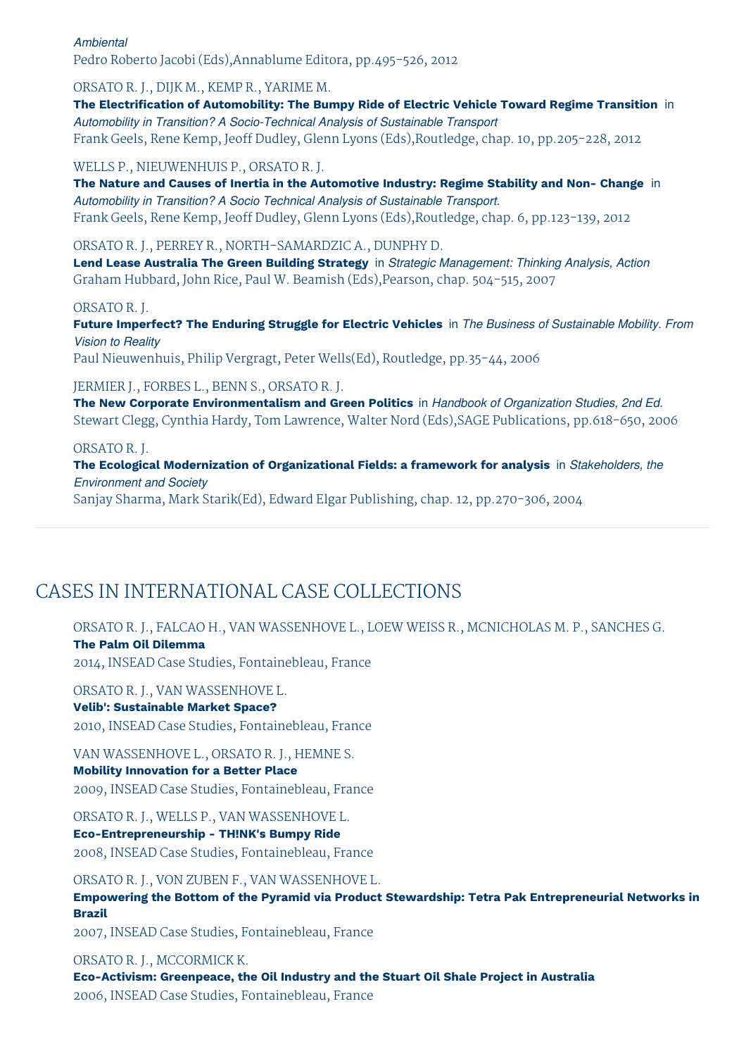*Ambiental* Pedro Roberto Jacobi (Eds),Annablume Editora, pp.495-526, 2012

ORSATO R. J., DIJK M., KEMP R., YARIME M.

**The Electrification of Automobility: The Bumpy Ride of Electric Vehicle Toward Regime Transition** in *Automobility in Transition? A Socio-Technical Analysis of Sustainable Transport* Frank Geels, Rene Kemp, Jeoff Dudley, Glenn Lyons (Eds),Routledge, chap. 10, pp.205-228, 2012

WELLS P., NIEUWENHUIS P., ORSATO R. J.

**The Nature and Causes of Inertia in the Automotive Industry: Regime Stability and Non- Change** in *Automobility in Transition? A Socio Technical Analysis of Sustainable Transport.* Frank Geels, Rene Kemp, Jeoff Dudley, Glenn Lyons (Eds),Routledge, chap. 6, pp.123-139, 2012

ORSATO R. J., PERREY R., NORTH-SAMARDZIC A., DUNPHY D.

**Lend Lease Australia The Green Building Strategy** in *Strategic Management: Thinking Analysis, Action* Graham Hubbard, John Rice, Paul W. Beamish (Eds),Pearson, chap. 504-515, 2007

#### ORSATO R. J.

**Future Imperfect? The Enduring Struggle for Electric Vehicles** in *The Business of Sustainable Mobility. From Vision to Reality*

Paul Nieuwenhuis, Philip Vergragt, Peter Wells(Ed), Routledge, pp.35-44, 2006

### JERMIER J., FORBES L., BENN S., ORSATO R. J.

**The New Corporate Environmentalism and Green Politics** in *Handbook of Organization Studies, 2nd Ed.* Stewart Clegg, Cynthia Hardy, Tom Lawrence, Walter Nord (Eds),SAGE Publications, pp.618-650, 2006

ORSATO R. J.

**The Ecological Modernization of Organizational Fields: a framework for analysis** in *Stakeholders, the Environment and Society*

Sanjay Sharma, Mark Starik(Ed), Edward Elgar Publishing, chap. 12, pp.270-306, 2004

# CASES IN INTERNATIONAL CASE COLLECTIONS

ORSATO R. J., FALCAO H., VAN WASSENHOVE L., LOEW WEISS R., MCNICHOLAS M. P., SANCHES G. **The Palm Oil Dilemma**

2014, INSEAD Case Studies, Fontainebleau, France

ORSATO R. J., VAN WASSENHOVE L.

### **Velib': Sustainable Market Space?**

2010, INSEAD Case Studies, Fontainebleau, France

VAN WASSENHOVE L., ORSATO R. J., HEMNE S.

**Mobility Innovation for a Better Place** 2009, INSEAD Case Studies, Fontainebleau, France

ORSATO R. J., WELLS P., VAN WASSENHOVE L. **Eco-Entrepreneurship - TH!NK's Bumpy Ride** 2008, INSEAD Case Studies, Fontainebleau, France

ORSATO R. J., VON ZUBEN F., VAN WASSENHOVE L. **Empowering the Bottom of the Pyramid via Product Stewardship: Tetra Pak Entrepreneurial Networks in Brazil**

2007, INSEAD Case Studies, Fontainebleau, France

ORSATO R. J., MCCORMICK K. **Eco-Activism: Greenpeace, the Oil Industry and the Stuart Oil Shale Project in Australia** 2006, INSEAD Case Studies, Fontainebleau, France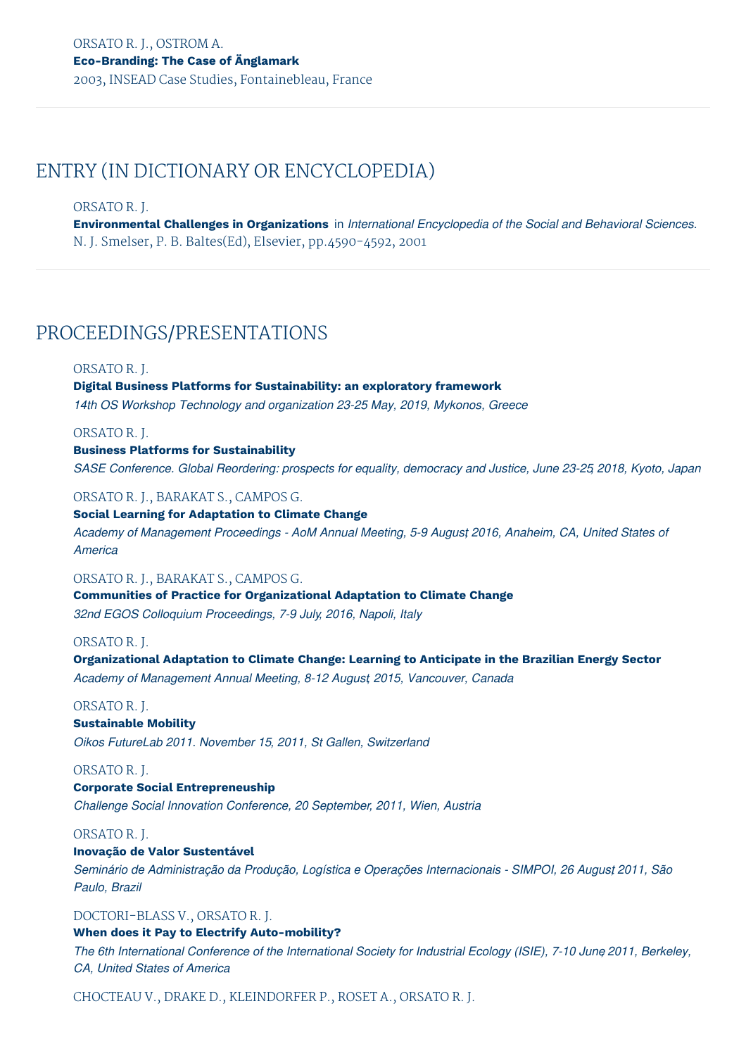# ENTRY (IN DICTIONARY OR ENCYCLOPEDIA)

#### ORSATO R. J.

**Environmental Challenges in Organizations** in *International Encyclopedia of the Social and Behavioral Sciences.* N. J. Smelser, P. B. Baltes(Ed), Elsevier, pp.4590-4592, 2001

# PROCEEDINGS/PRESENTATIONS

#### ORSATO R. J.

# **Digital Business Platforms for Sustainability: an exploratory framework**

*14th OS Workshop Technology and organization 23-25 May, 2019, Mykonos, Greece*

#### ORSATO R. J.

#### **Business Platforms for Sustainability**

*SASE Conference. Global Reordering: prospects for equality, democracy and Justice, June 23-25, 2018, Kyoto, Japan*

#### ORSATO R. J., BARAKAT S., CAMPOS G.

**Social Learning for Adaptation to Climate Change** *Academy of Management Proceedings - AoM Annual Meeting, 5-9 August, 2016, Anaheim, CA, United States of America*

#### ORSATO R. J., BARAKAT S., CAMPOS G.

**Communities of Practice for Organizational Adaptation to Climate Change** *32nd EGOS Colloquium Proceedings, 7-9 July, 2016, Napoli, Italy*

#### ORSATO R. J.

**Organizational Adaptation to Climate Change: Learning to Anticipate in the Brazilian Energy Sector** *Academy of Management Annual Meeting, 8-12 August, 2015, Vancouver, Canada*

### ORSATO R. J.

### **Sustainable Mobility**

*Oikos FutureLab 2011. November 15, 2011, St Gallen, Switzerland*

#### ORSATO R. J.

### **Corporate Social Entrepreneuship**

*Challenge Social Innovation Conference, 20 September, 2011, Wien, Austria*

#### ORSATO R. J.

#### **Inovação de Valor Sustentável**

*Seminário de Administração da Produção, Logística e Operações Internacionais - SIMPOI, 26 Augus,t 2011, São Paulo, Brazil*

### DOCTORI-BLASS V., ORSATO R. J.

#### **When does it Pay to Electrify Auto-mobility?**

The 6th International Conference of the International Society for Industrial Ecology (ISIE), 7-10 June 2011, Berkeley, *CA, United States of America*

CHOCTEAU V., DRAKE D., KLEINDORFER P., ROSET A., ORSATO R. J.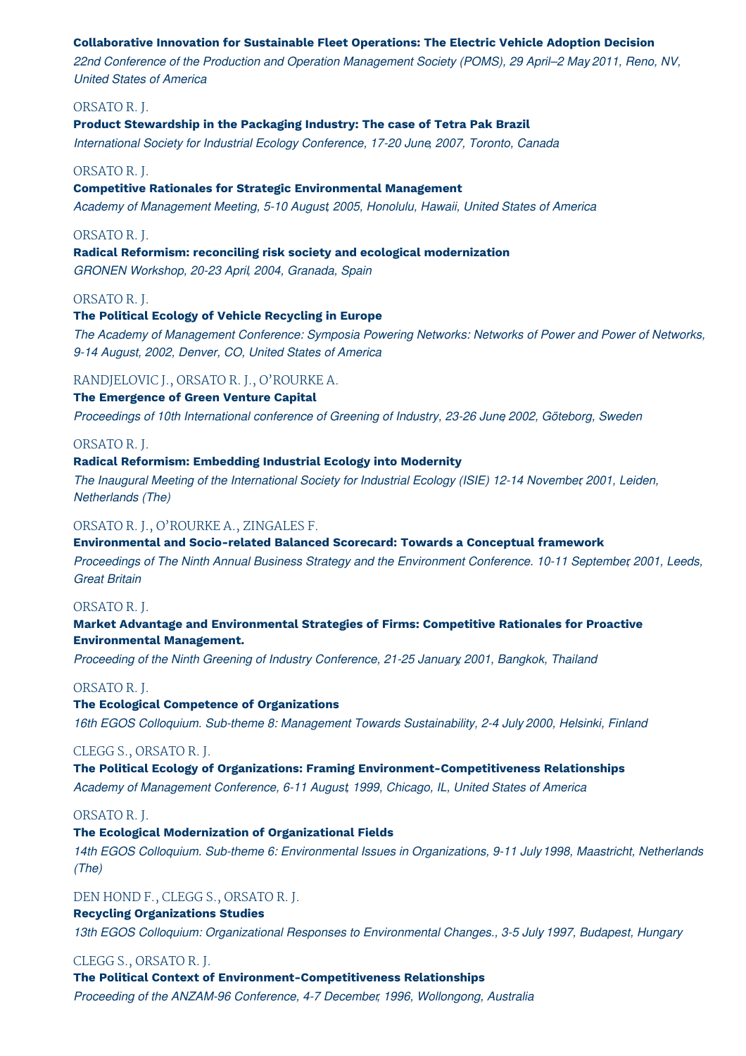#### **Collaborative Innovation for Sustainable Fleet Operations: The Electric Vehicle Adoption Decision**

*22nd Conference of the Production and Operation Management Society (POMS), 29 April–2 May, 2011, Reno, NV, United States of America*

#### ORSATO R. J.

#### **Product Stewardship in the Packaging Industry: The case of Tetra Pak Brazil**

*International Society for Industrial Ecology Conference, 17-20 June, 2007, Toronto, Canada*

#### ORSATO R. J.

#### **Competitive Rationales for Strategic Environmental Management**

*Academy of Management Meeting, 5-10 August, 2005, Honolulu, Hawaii, United States of America*

#### ORSATO R. J.

**Radical Reformism: reconciling risk society and ecological modernization**

*GRONEN Workshop, 20-23 April, 2004, Granada, Spain*

#### ORSATO R. J.

#### **The Political Ecology of Vehicle Recycling in Europe**

*The Academy of Management Conference: Symposia Powering Networks: Networks of Power and Power of Networks, 9-14 August, 2002, Denver, CO, United States of America*

#### RANDJELOVIC J., ORSATO R. J., O'ROURKE A.

#### **The Emergence of Green Venture Capital**

*Proceedings of 10th International conference of Greening of Industry, 23-26 June, 2002, Göteborg, Sweden*

#### ORSATO R. J.

#### **Radical Reformism: Embedding Industrial Ecology into Modernity**

*The Inaugural Meeting of the International Society for Industrial Ecology (ISIE) 12-14 November, 2001, Leiden, Netherlands (The)*

#### ORSATO R. J., O'ROURKE A., ZINGALES F.

#### **Environmental and Socio-related Balanced Scorecard: Towards a Conceptual framework**

*Proceedings of The Ninth Annual Business Strategy and the Environment Conference. 10-11 September, 2001, Leeds, Great Britain*

#### ORSATO R. J.

#### **Market Advantage and Environmental Strategies of Firms: Competitive Rationales for Proactive Environmental Management.**

*Proceeding of the Ninth Greening of Industry Conference, 21-25 January, 2001, Bangkok, Thailand*

#### ORSATO R. J.

### **The Ecological Competence of Organizations**

*16th EGOS Colloquium. Sub-theme 8: Management Towards Sustainability, 2-4 July, 2000, Helsinki, Finland*

#### CLEGG S., ORSATO R. J.

### **The Political Ecology of Organizations: Framing Environment-Competitiveness Relationships**

*Academy of Management Conference, 6-11 August, 1999, Chicago, IL, United States of America*

#### ORSATO R. J.

#### **The Ecological Modernization of Organizational Fields**

*14th EGOS Colloquium. Sub-theme 6: Environmental Issues in Organizations, 9-11 July, 1998, Maastricht, Netherlands (The)*

#### DEN HOND F., CLEGG S., ORSATO R. J.

#### **Recycling Organizations Studies**

*13th EGOS Colloquium: Organizational Responses to Environmental Changes., 3-5 July, 1997, Budapest, Hungary*

#### CLEGG S., ORSATO R. J.

**The Political Context of Environment-Competitiveness Relationships** *Proceeding of the ANZAM-96 Conference, 4-7 December, 1996, Wollongong, Australia*